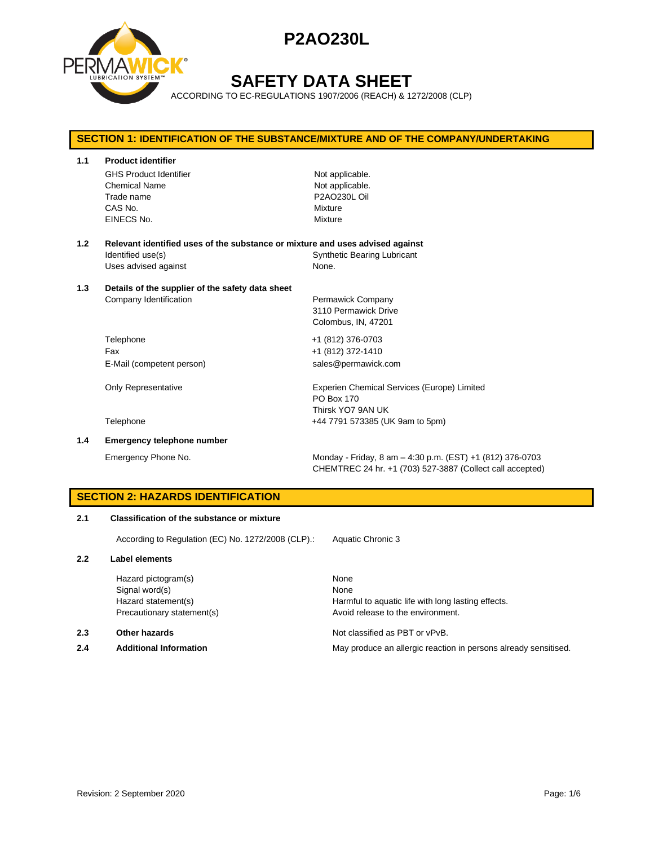

## **SAFETY DATA SHEET**

ACCORDING TO EC-REGULATIONS 1907/2006 (REACH) & 1272/2008 (CLP)

## **SECTION 1: IDENTIFICATION OF THE SUBSTANCE/MIXTURE AND OF THE COMPANY/UNDERTAKING 1.1 Product identifier** GHS Product Identifier Not applicable. Chemical Name Not applicable. Trade name **P2AO230L Oil** CAS No. Mixture EINECS No. 2008 - 2009 Mixture **1.2 Relevant identified uses of the substance or mixture and uses advised against** Identified use(s) The Synthetic Bearing Lubricant Uses advised against None. **1.3 Details of the supplier of the safety data sheet** Company Identification **Permawick Company** 3110 Permawick Drive Colombus, IN, 47201 Telephone +1 (812) 376-0703 Fax +1 (812) 372-1410 E-Mail (competent person) sales@permawick.com Only Representative **Experien Chemical Services (Europe)** Limited PO Box 170 Thirsk YO7 9AN UK Telephone +44 7791 573385 (UK 9am to 5pm) **1.4 Emergency telephone number** Emergency Phone No. Monday - Friday, 8 am – 4:30 p.m. (EST) +1 (812) 376-0703

CHEMTREC 24 hr. +1 (703) 527-3887 (Collect call accepted)

## **SECTION 2: HAZARDS IDENTIFICATION**

### **2.1 Classification of the substance or mixture**

According to Regulation (EC) No. 1272/2008 (CLP).: Aquatic Chronic 3

#### **2.2 Label elements**

Hazard pictogram(s) None Signal word(s) None

### **2.3 Other hazards Detection According to the Contract Contract According Not classified as PBT or vPvB.**

Hazard statement(s) The Harmful to aquatic life with long lasting effects. Precautionary statement(s) example a provid release to the environment.

**2.4 Additional Information** May produce an allergic reaction in persons already sensitised.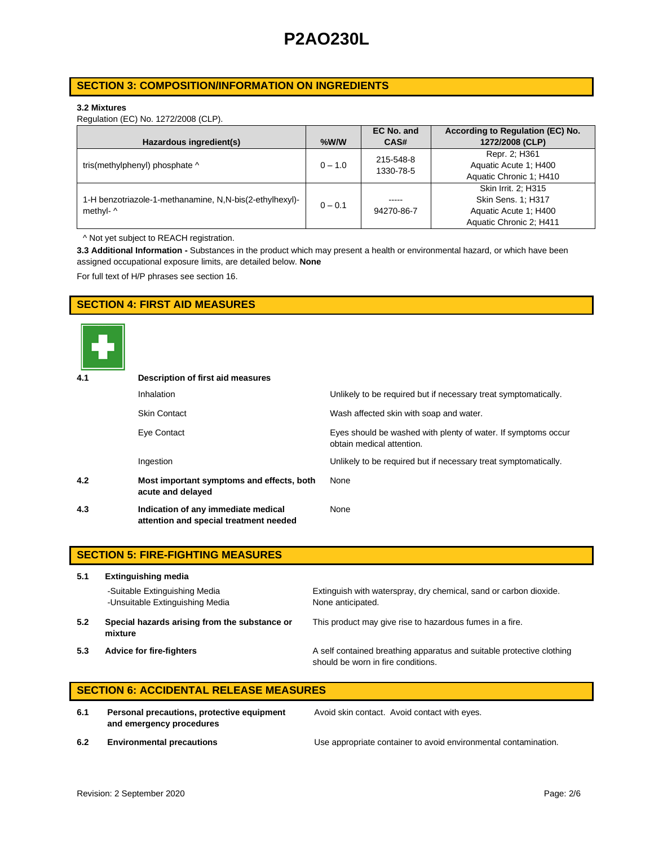## **SECTION 3: COMPOSITION/INFORMATION ON INGREDIENTS**

### **3.2 Mixtures**

Regulation (EC) No. 1272/2008 (CLP).

|                                                         |           | EC No. and | According to Regulation (EC) No. |
|---------------------------------------------------------|-----------|------------|----------------------------------|
| Hazardous ingredient(s)                                 | $%$ W/W   | CAS#       | 1272/2008 (CLP)                  |
|                                                         |           | 215-548-8  | Repr. 2; H361                    |
| tris(methylphenyl) phosphate ^                          | $0 - 1.0$ | 1330-78-5  | Aquatic Acute 1: H400            |
|                                                         |           |            | Aquatic Chronic 1; H410          |
|                                                         |           |            | Skin Irrit. 2: H315              |
| 1-H benzotriazole-1-methanamine, N,N-bis(2-ethylhexyl)- | $0 - 0.1$ | -----      | Skin Sens. 1; H317               |
| methyl- ^                                               |           | 94270-86-7 | Aquatic Acute 1: H400            |
|                                                         |           |            | Aquatic Chronic 2; H411          |

^ Not yet subject to REACH registration.

**3.3 Additional Information -** Substances in the product which may present a health or environmental hazard, or which have been assigned occupational exposure limits, are detailed below. **None**

For full text of H/P phrases see section 16.

## **SECTION 4: FIRST AID MEASURES**



| 4.1 | Description of first aid measures                                             |                                                                                            |  |  |
|-----|-------------------------------------------------------------------------------|--------------------------------------------------------------------------------------------|--|--|
|     | <b>Inhalation</b>                                                             | Unlikely to be required but if necessary treat symptomatically.                            |  |  |
|     | <b>Skin Contact</b>                                                           | Wash affected skin with soap and water.                                                    |  |  |
|     | Eye Contact                                                                   | Eyes should be washed with plenty of water. If symptoms occur<br>obtain medical attention. |  |  |
|     | Ingestion                                                                     | Unlikely to be required but if necessary treat symptomatically.                            |  |  |
| 4.2 | Most important symptoms and effects, both<br>acute and delayed                | None                                                                                       |  |  |
| 4.3 | Indication of any immediate medical<br>attention and special treatment needed | None                                                                                       |  |  |

|     | <b>SECTION 5: FIRE-FIGHTING MEASURES</b>                         |                                                                                                             |  |  |
|-----|------------------------------------------------------------------|-------------------------------------------------------------------------------------------------------------|--|--|
| 5.1 | <b>Extinguishing media</b>                                       |                                                                                                             |  |  |
|     | -Suitable Extinguishing Media<br>-Unsuitable Extinguishing Media | Extinguish with waterspray, dry chemical, sand or carbon dioxide.<br>None anticipated.                      |  |  |
| 5.2 | Special hazards arising from the substance or<br>mixture         | This product may give rise to hazardous fumes in a fire.                                                    |  |  |
| 5.3 | <b>Advice for fire-fighters</b>                                  | A self contained breathing apparatus and suitable protective clothing<br>should be worn in fire conditions. |  |  |

## **SECTION 6: ACCIDENTAL RELEASE MEASURES**

**6.1 Personal precautions, protective equipment and emergency procedures**

Avoid skin contact. Avoid contact with eyes.

**6.2 Environmental precautions** Use appropriate container to avoid environmental contamination.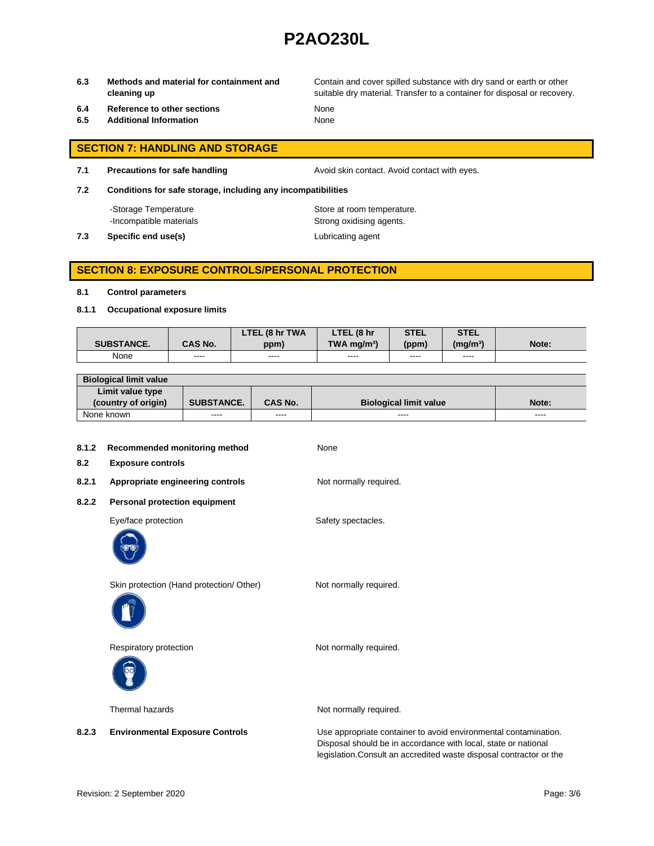**6.3 Methods and material for containment and cleaning up**

Contain and cover spilled substance with dry sand or earth or other suitable dry material. Transfer to a container for disposal or recovery.

- **6.4 Reference to other sections** None
- **6.5 Additional Information** None

# **SECTION 7: HANDLING AND STORAGE**

**7.1 Precautions for safe handling Avoid skin contact. Avoid contact with eyes.** 

**7.2 Conditions for safe storage, including any incompatibilities**

-Storage Temperature **Store at room temperature.** 

-Incompatible materials **Strong oxidising agents**. **7.3 Specific end use(s) Lubricating agent** 

## **SECTION 8: EXPOSURE CONTROLS/PERSONAL PROTECTION**

#### **8.1 Control parameters**

**8.1.1 Occupational exposure limits**

|                   |                | LTEL (8 hr TWA | LTEL (8 hr                | <b>STEL</b> | <b>STEL</b>     |       |
|-------------------|----------------|----------------|---------------------------|-------------|-----------------|-------|
| <b>SUBSTANCE.</b> | <b>CAS No.</b> | ppm)           | $TWA$ ma/m <sup>3</sup> ) | (ppm)       | $(m\alpha/m^3)$ | Note: |
| None              | ----           | ----           | ----                      | ----        | ----            |       |

| <b>Biological limit value</b> |                   |                |                               |          |
|-------------------------------|-------------------|----------------|-------------------------------|----------|
| Limit value type              |                   |                |                               |          |
| (country of origin)           | <b>SUBSTANCE.</b> | <b>CAS No.</b> | <b>Biological limit value</b> | Note:    |
| None known                    | ----              | ----           | ----                          | $\cdots$ |

| 8.1.2<br>8.2 | Recommended monitoring method<br><b>Exposure controls</b> | None                                                                                                                           |
|--------------|-----------------------------------------------------------|--------------------------------------------------------------------------------------------------------------------------------|
| 8.2.1        | Appropriate engineering controls                          | Not normally required.                                                                                                         |
| 8.2.2        | <b>Personal protection equipment</b>                      |                                                                                                                                |
|              | Eye/face protection                                       | Safety spectacles.                                                                                                             |
|              | Skin protection (Hand protection/ Other)                  | Not normally required.                                                                                                         |
|              | Respiratory protection                                    | Not normally required.                                                                                                         |
|              | Thermal hazards                                           | Not normally required.                                                                                                         |
| 8.2.3        | <b>Environmental Exposure Controls</b>                    | Use appropriate container to avoid environmental contamination.<br>Disasaal ahaalaha in saasaasaa mitu laad, atata saasataaal, |

Disposal should be in accordance with local, state or national legislation.Consult an accredited waste disposal contractor or the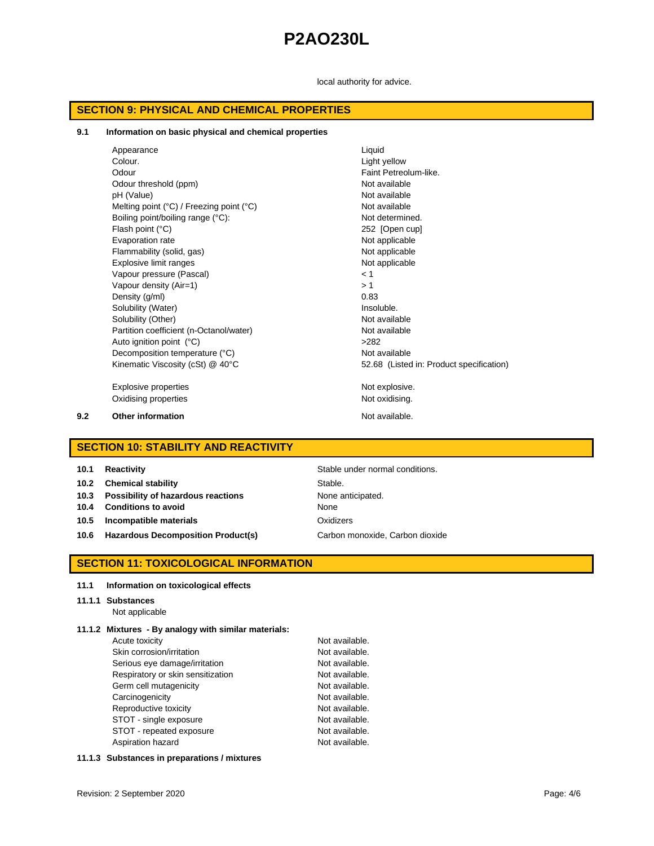local authority for advice.

### **SECTION 9: PHYSICAL AND CHEMICAL PROPERTIES**

#### **9.1 Information on basic physical and chemical properties**

|     | Appearance                                                 | Liquid                                   |
|-----|------------------------------------------------------------|------------------------------------------|
|     | Colour.                                                    | Light yellow                             |
|     | Odour                                                      | Faint Petreolum-like.                    |
|     | Odour threshold (ppm)                                      | Not available                            |
|     | pH (Value)                                                 | Not available                            |
|     | Melting point $(^{\circ}C)$ / Freezing point $(^{\circ}C)$ | Not available                            |
|     | Boiling point/boiling range (°C):                          | Not determined.                          |
|     | Flash point (°C)                                           | 252 [Open cup]                           |
|     | Evaporation rate                                           | Not applicable                           |
|     | Flammability (solid, gas)                                  | Not applicable                           |
|     | Explosive limit ranges                                     | Not applicable                           |
|     | Vapour pressure (Pascal)                                   | < 1                                      |
|     | Vapour density (Air=1)                                     | >1                                       |
|     | Density (q/ml)                                             | 0.83                                     |
|     | Solubility (Water)                                         | Insoluble.                               |
|     | Solubility (Other)                                         | Not available                            |
|     | Partition coefficient (n-Octanol/water)                    | Not available                            |
|     | Auto ignition point (°C)                                   | >282                                     |
|     | Decomposition temperature (°C)                             | Not available                            |
|     | Kinematic Viscosity (cSt) @ 40°C                           | 52.68 (Listed in: Product specification) |
|     | Explosive properties                                       | Not explosive.                           |
|     | Oxidising properties                                       | Not oxidising.                           |
| 9.2 | <b>Other information</b>                                   | Not available.                           |

## **SECTION 10: STABILITY AND REACTIVITY**

**Stable under normal conditions. 10.2 Chemical stability** Stable. **10.3 Possibility of hazardous reactions** None anticipated. **10.4 Conditions to avoid** None **10.5 Incompatible materials Canadian Example 20 and Data Constructs** Oxidizers **10.6 Hazardous Decomposition Product(s)** Carbon monoxide, Carbon dioxide

## **SECTION 11: TOXICOLOGICAL INFORMATION**

#### **11.1 Information on toxicological effects**

#### **11.1.1 Substances**

Not applicable

### **11.1.2 Mixtures - By analogy with similar materials:**

Acute toxicity **Not available**. Skin corrosion/irritation Not available. Serious eye damage/irritation Not available. Respiratory or skin sensitization Not available. Germ cell mutagenicity **Not available.** Not available. Carcinogenicity **Not available.** Reproductive toxicity Not available. STOT - single exposure Not available. STOT - repeated exposure Not available. Aspiration hazard **Not available**.

### **11.1.3 Substances in preparations / mixtures**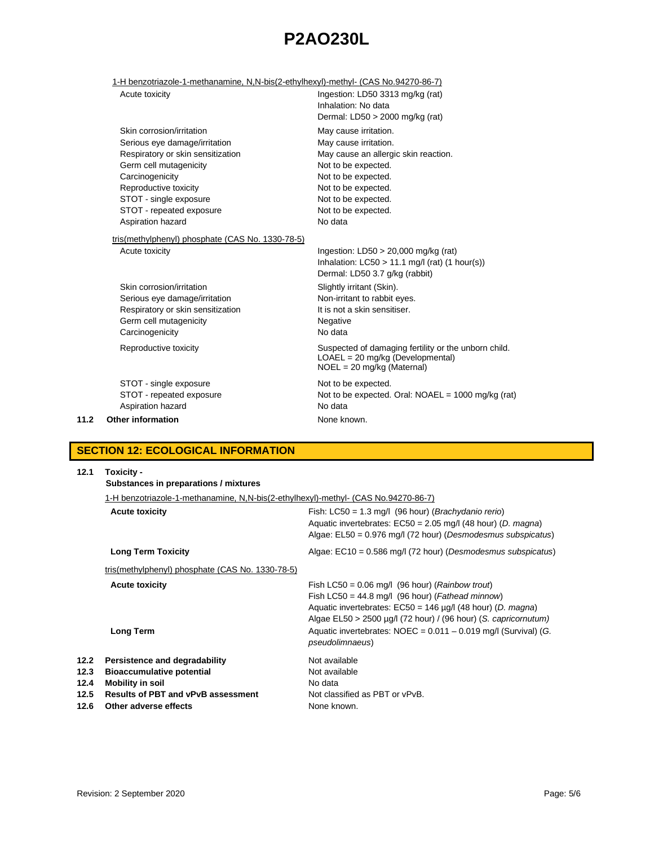## 1-H benzotriazole-1-methanamine, N,N-bis(2-ethylhexyl)-methyl- (CAS No.94270-86-7)

|      | Acute toxicity                                                                                                                                                                                                                                   | Ingestion: LD50 3313 mg/kg (rat)<br>Inhalation: No data<br>Dermal: LD50 > 2000 mg/kg (rat)                                                                                                                           |
|------|--------------------------------------------------------------------------------------------------------------------------------------------------------------------------------------------------------------------------------------------------|----------------------------------------------------------------------------------------------------------------------------------------------------------------------------------------------------------------------|
|      | Skin corrosion/irritation<br>Serious eye damage/irritation<br>Respiratory or skin sensitization<br>Germ cell mutagenicity<br>Carcinogenicity<br>Reproductive toxicity<br>STOT - single exposure<br>STOT - repeated exposure<br>Aspiration hazard | May cause irritation.<br>May cause irritation.<br>May cause an allergic skin reaction.<br>Not to be expected.<br>Not to be expected.<br>Not to be expected.<br>Not to be expected.<br>Not to be expected.<br>No data |
|      | tris(methylphenyl) phosphate (CAS No. 1330-78-5)<br>Acute toxicity                                                                                                                                                                               | Ingestion: $LD50 > 20,000$ mg/kg (rat)<br>Inhalation: $LC50 > 11.1$ mg/l (rat) (1 hour(s))<br>Dermal: LD50 3.7 g/kg (rabbit)                                                                                         |
|      | Skin corrosion/irritation<br>Serious eye damage/irritation<br>Respiratory or skin sensitization<br>Germ cell mutagenicity<br>Carcinogenicity                                                                                                     | Slightly irritant (Skin).<br>Non-irritant to rabbit eyes.<br>It is not a skin sensitiser.<br>Negative<br>No data                                                                                                     |
|      | Reproductive toxicity                                                                                                                                                                                                                            | Suspected of damaging fertility or the unborn child.<br>LOAEL = 20 mg/kg (Developmental)<br>$NOEL = 20$ mg/kg (Maternal)                                                                                             |
| 11.2 | STOT - single exposure<br>STOT - repeated exposure<br>Aspiration hazard<br><b>Other information</b>                                                                                                                                              | Not to be expected.<br>Not to be expected. Oral: NOAEL = 1000 mg/kg (rat)<br>No data<br>None known.                                                                                                                  |
|      |                                                                                                                                                                                                                                                  |                                                                                                                                                                                                                      |

## **SECTION 12: ECOLOGICAL INFORMATION**

| 12.1                                 | Toxicity -<br>Substances in preparations / mixtures                                                                                                         |                                                                                                                                                                                                                                                       |  |  |
|--------------------------------------|-------------------------------------------------------------------------------------------------------------------------------------------------------------|-------------------------------------------------------------------------------------------------------------------------------------------------------------------------------------------------------------------------------------------------------|--|--|
|                                      | 1-H benzotriazole-1-methanamine, N,N-bis(2-ethylhexyl)-methyl- (CAS No.94270-86-7)                                                                          |                                                                                                                                                                                                                                                       |  |  |
|                                      | <b>Acute toxicity</b>                                                                                                                                       | Fish: $LC50 = 1.3$ mg/l (96 hour) ( <i>Brachydanio rerio</i> )<br>Aquatic invertebrates: $EC50 = 2.05$ mg/l (48 hour) (D. magna)<br>Algae: $E L50 = 0.976$ mg/l (72 hour) (Desmodesmus subspicatus)                                                   |  |  |
|                                      | <b>Long Term Toxicity</b>                                                                                                                                   | Algae: $EC10 = 0.586$ mg/l (72 hour) (Desmodesmus subspicatus)                                                                                                                                                                                        |  |  |
|                                      | tris(methylphenyl) phosphate (CAS No. 1330-78-5)                                                                                                            |                                                                                                                                                                                                                                                       |  |  |
|                                      | <b>Acute toxicity</b>                                                                                                                                       | Fish LC50 = $0.06$ mg/l (96 hour) ( <i>Rainbow trout</i> )<br>Fish LC50 = 44.8 mg/l (96 hour) (Fathead minnow)<br>Aquatic invertebrates: $EC50 = 146 \mu g/l$ (48 hour) (D. magna)<br>Algae EL50 > 2500 µg/l (72 hour) / (96 hour) (S. capricornutum) |  |  |
|                                      | <b>Long Term</b>                                                                                                                                            | Aquatic invertebrates: $NOEC = 0.011 - 0.019$ mg/l (Survival) (G.<br><i>pseudolimnaeus</i> )                                                                                                                                                          |  |  |
| 12.2<br>12.3<br>12.4<br>12.5<br>12.6 | Persistence and degradability<br><b>Bioaccumulative potential</b><br>Mobility in soil<br><b>Results of PBT and vPvB assessment</b><br>Other adverse effects | Not available<br>Not available<br>No data<br>Not classified as PBT or vPvB.<br>None known.                                                                                                                                                            |  |  |